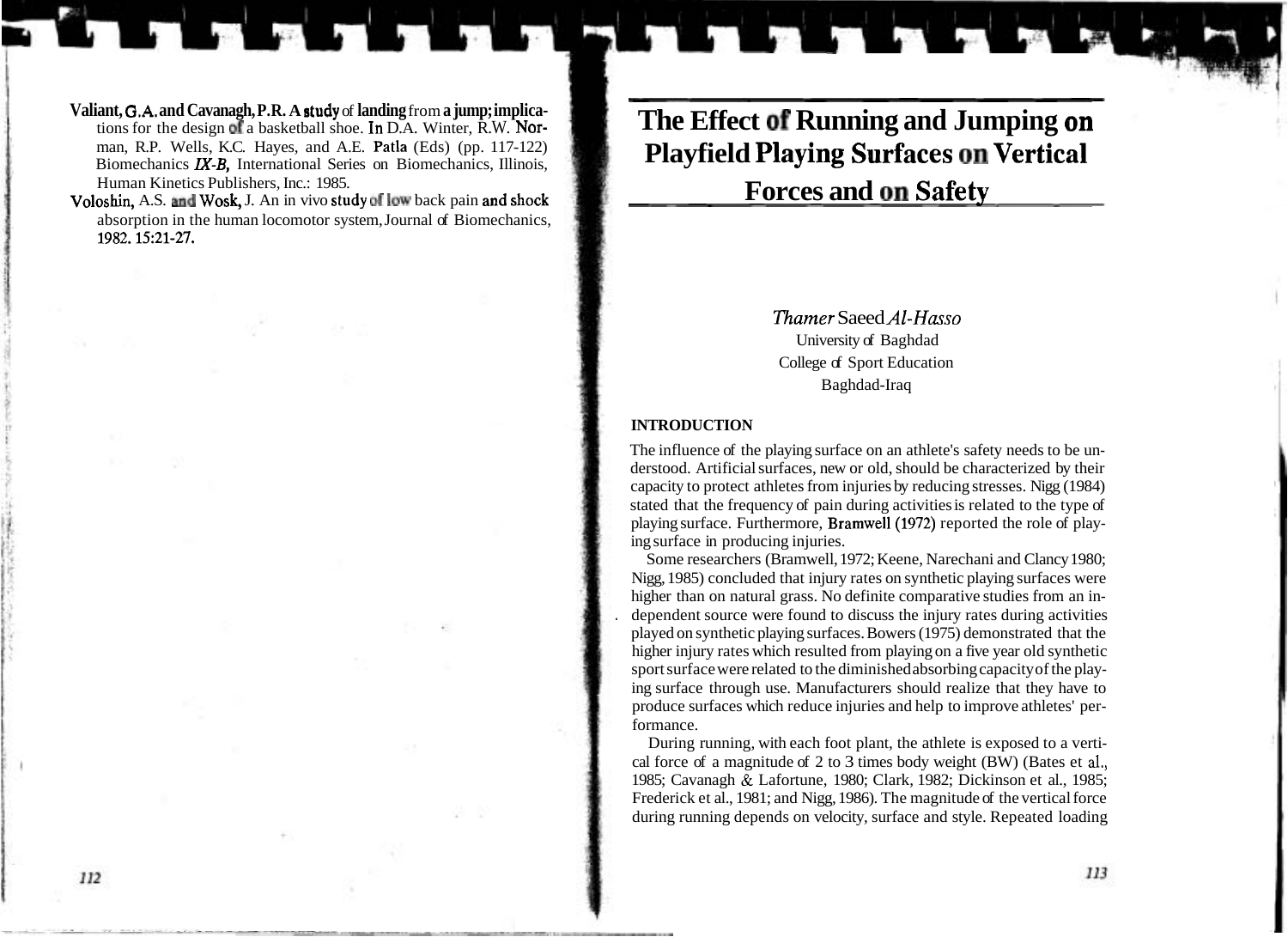# **The Effect of Running and Jumping on Playfield Playing Surfaces on Vertical Forces and on Safety**

*Thamer* Saeed *Al-Hasso*  University of Baghdad College of Sport Education Baghdad-Iraq

## **INTRODUCTION**

The influence of the playing surface on an athlete's safety needs to be understood. Artificial surfaces, new or old, should be characterized by their capacity to protect athletes from injuries by reducing stresses. Nigg (1984) stated that the frequency of pain during activities is related to the type of playing surface. Furthermore, **Bramwell** (1972) reported the role of playing surface in producing injuries.

Some researchers (Bramwell, 1972; Keene, Narechani and Clancy 1980; Nigg, 1985) concluded that injury rates on synthetic playing surfaces were higher than on natural grass. No definite comparative studies from an in- . dependent source were found to discuss the injury rates during activities played on synthetic playing surfaces. Bowers (1975) demonstrated that the higher injury rates which resulted from playing on a five year old synthetic sport surface were related to the diminished absorbing capacity of the playing surface through use. Manufacturers should realize that they have to produce surfaces which reduce injuries and help to improve athletes' performance.

During running, with each foot plant, the athlete is exposed to a vertical force of a magnitude of 2 to 3 times body weight (BW) (Bates et **al.,**  1985; Cavanagh & Lafortune, 1980; Clark, 1982; Dickinson et al., 1985; Frederick et al., 1981; and Nigg, 1986). The magnitude of the vertical force during running depends on velocity, surface and style. Repeated loading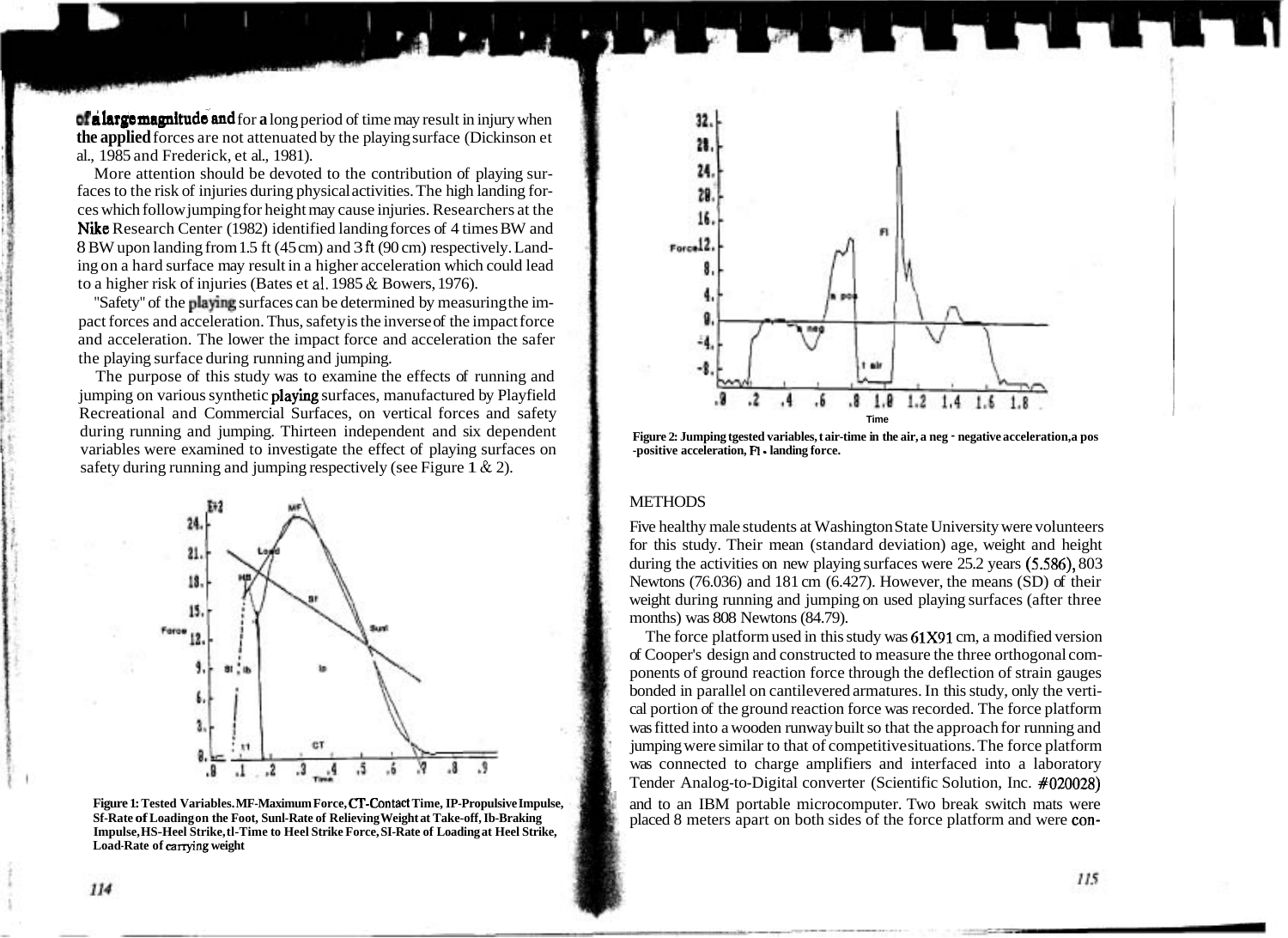**of a large magnitude and for a** long period of time may result in injury when **the applied** forces are not attenuated by the playing surface (Dickinson et al., 1985 and Frederick, et al., 1981).

More attention should be devoted to the contribution of playing surfaces to the risk of injuries during physical activities. The high landing forces which follow jumping for height may cause injuries. Researchers at the Nike Research Center (1982) identified landing forces of 4 times BW and 8 BW upon landing from 1.5 ft (45 cm) and 3 **ft** (90 cm) respectively. Landing on a hard surface may result in a higher acceleration which could lead to a higher risk of injuries (Bates et **al.** 1985 & Bowers, 1976).

"Safety" of the playing surfaces can be determined by measuring the impact forces and acceleration. Thus, safety is the inverse of the impact force and acceleration. The lower the impact force and acceleration the safer the playing surface during running and jumping.

The purpose of this study was to examine the effects of running and jumping on various synthetic **playing** surfaces, manufactured by Playfield Recreational and Commercial Surfaces, on vertical forces and safety during running and jumping. Thirteen independent and six dependent variables were examined to investigate the effect of playing surfaces on safety during running and jumping respectively (see Figure 1  $\&$  2).



**Figure 1: Tested Variables. MF-Maximum Force, CT-Contact Time, IP-Propulsive Impulse, Sf-Rate of Loading on the Foot, Sunl-Rate of Relieving Weight at Take-off, Ib-Braking Impulse, HS-Heel Strike, tl-Time to Heel Strike Force, SI-Rate of Loading at Heel Strike, Load-Rate of** arrying **weight** 



**Figure 2: Jumping tgested variables, t air-time in the air, a neg** - **negative acceleration, a pos -positive acceleration, FI** - **landing force.** 

## **METHODS**

Five healthy male students at Washington State University were volunteers for this study. Their mean (standard deviation) age, weight and height during the activities on new playing surfaces were 25.2 years (5.586), 803 Newtons (76.036) and 181 cm (6.427). However, the means (SD) of their weight during running and jumping on used playing surfaces (after three months) was 808 Newtons (84.79).

The force platform used in this study was 61x91 cm, a modified version of Cooper's design and constructed to measure the three orthogonal components of ground reaction force through the deflection of strain gauges bonded in parallel on cantilevered armatures. In this study, only the vertical portion of the ground reaction force was recorded. The force platform was fitted into a wooden runway built so that the approach for running and jumping were similar to that of competitive situations. The force platform was connected to charge amplifiers and interfaced into a laboratory Tender Analog-to-Digital converter (Scientific Solution, Inc. #020028) and to an IBM portable microcomputer. Two break switch mats were placed 8 meters apart on both sides of the force platform and were con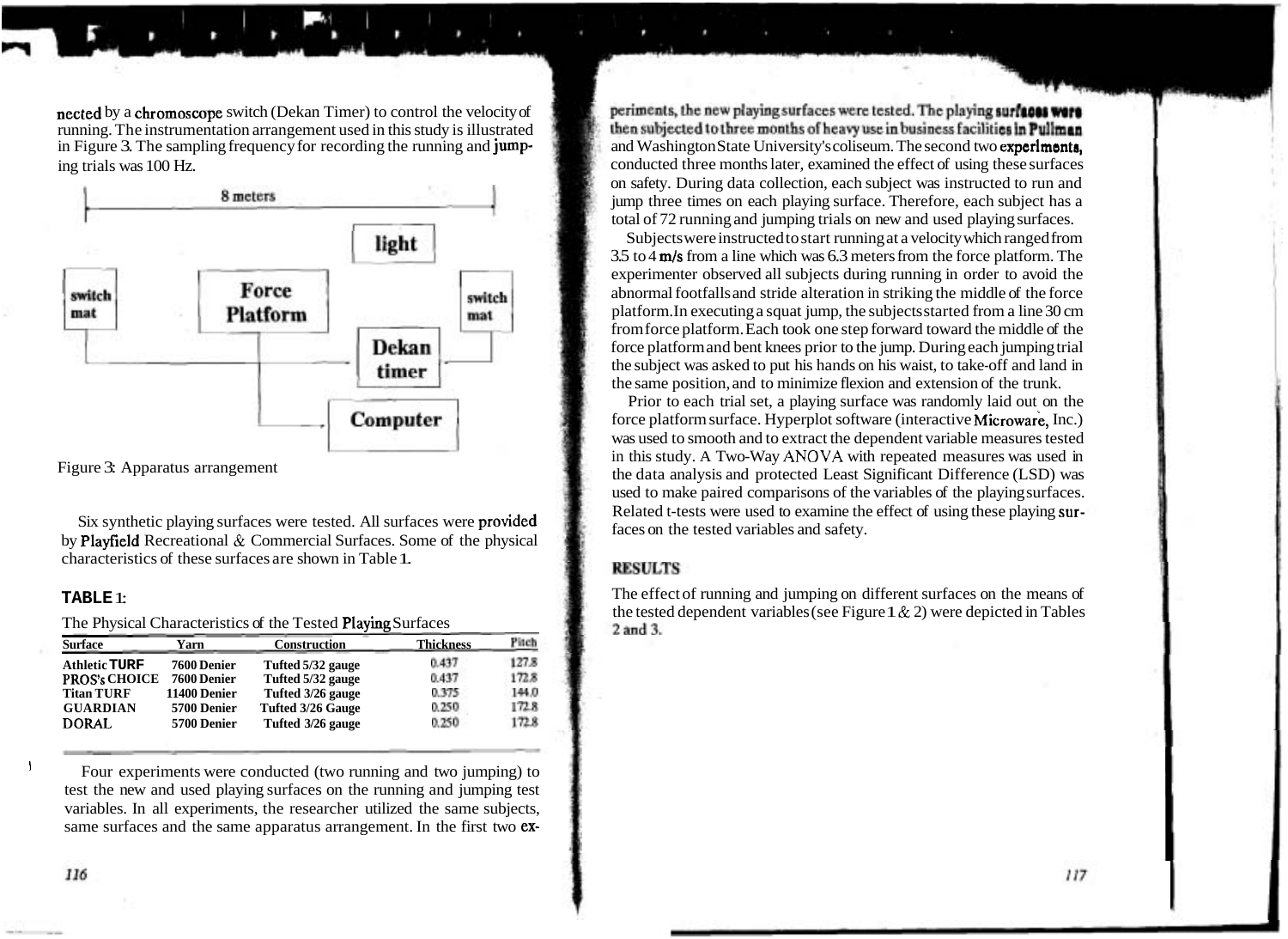nected by a chromoscope switch (Dekan Timer) to control the velocity of running. The instrumentation arrangement used in this study is illustrated



characteristics of these surfaces are shown in Table 1.

The Physical Characteristics of the Tested Playing Surfaces

| <b>Surface</b>       | Yarn               | <b>Construction</b>      | <b>Thickness</b> | Pitch |
|----------------------|--------------------|--------------------------|------------------|-------|
| <b>Athletic TURF</b> | <b>7600 Denier</b> | Tufted 5/32 gauge        | 0.437            | 127.8 |
| <b>PROS's CHOICE</b> | <b>7600 Denier</b> | Tufted 5/32 gauge        | 0.437            | 172.8 |
| <b>Titan TURF</b>    | 11400 Denier       | Tufted 3/26 gauge        | 0.375            | 144.0 |
| <b>GUARDIAN</b>      | 5700 Denier        | <b>Tufted 3/26 Gauge</b> | 0.250            | 172.8 |
| <b>DORAL</b>         | 5700 Denier        | Tufted 3/26 gauge        | 0.250            | 172.8 |

 $\frac{1}{1}$  Four experiments were conducted (two running and two jumping) to test the new and used playing surfaces on the running and jumping test variables. In all experiments, the researcher utilized the same subjects, same surfaces and the same apparatus arrangement. In the first two ex-

periments, the new playing surfaces were tested. The playing surfaces were then subjected to three months of heavy use in business facilities in Pullman in Figure 3. The sampling frequency for recording the running and **jump-** and Washington State University's coliseum. The second two **experiments,** conducted three months later, examined the effect of using these surfaces conducted three months later, examined the effect of using these surfaces on safety. During data collection, each subject was instructed to run and jump three times on each playing surface. Therefore, each subject has a total of 72 running and jumping trials on new and used playing surfaces.

Subjects were instructed to start running at a velocity which ranged from 3.5 to 4 m/s from a line which was 6.3 meters from the force platform. The experimenter observed all subjects during running in order to avoid the abnormal footfalls and stride alteration in striking the middle of the force platform. In executing a squat jump, the subjects started from a line 30 cm from force platform. Each took one step forward toward the middle of the force platform and bent knees prior to the jump. During each jumping trial the subject was asked to put his hands on his waist, to take-off and land in the same position, and to minimize flexion and extension of the trunk.

Prior to each trial set, a playing surface was randomly laid out on the force platform surface. Hyperplot software (interactive Microware, Inc.) was used to smooth and to extract the dependent variable measures tested in this study. A Two-Way **ANOVA** with repeated measures was used in Figure 3: Apparatus arrangement the data analysis and protected Least Significant Difference (LSD) was used to make paired comparisons of the variables of the playing surfaces. Six synthetic playing surfaces were tested. All surfaces were **provided** Related t-tests were used to examine the effect of using these playing sur-<br>by Playfield Recreational & Commercial Surfaces. Some of the physical

## **RESULTS**

**TABLE 1:** The effect of running and jumping on different surfaces on the means of the tested dependent variables (see Figure 1 & 2) were depicted in Tables 2 and 3.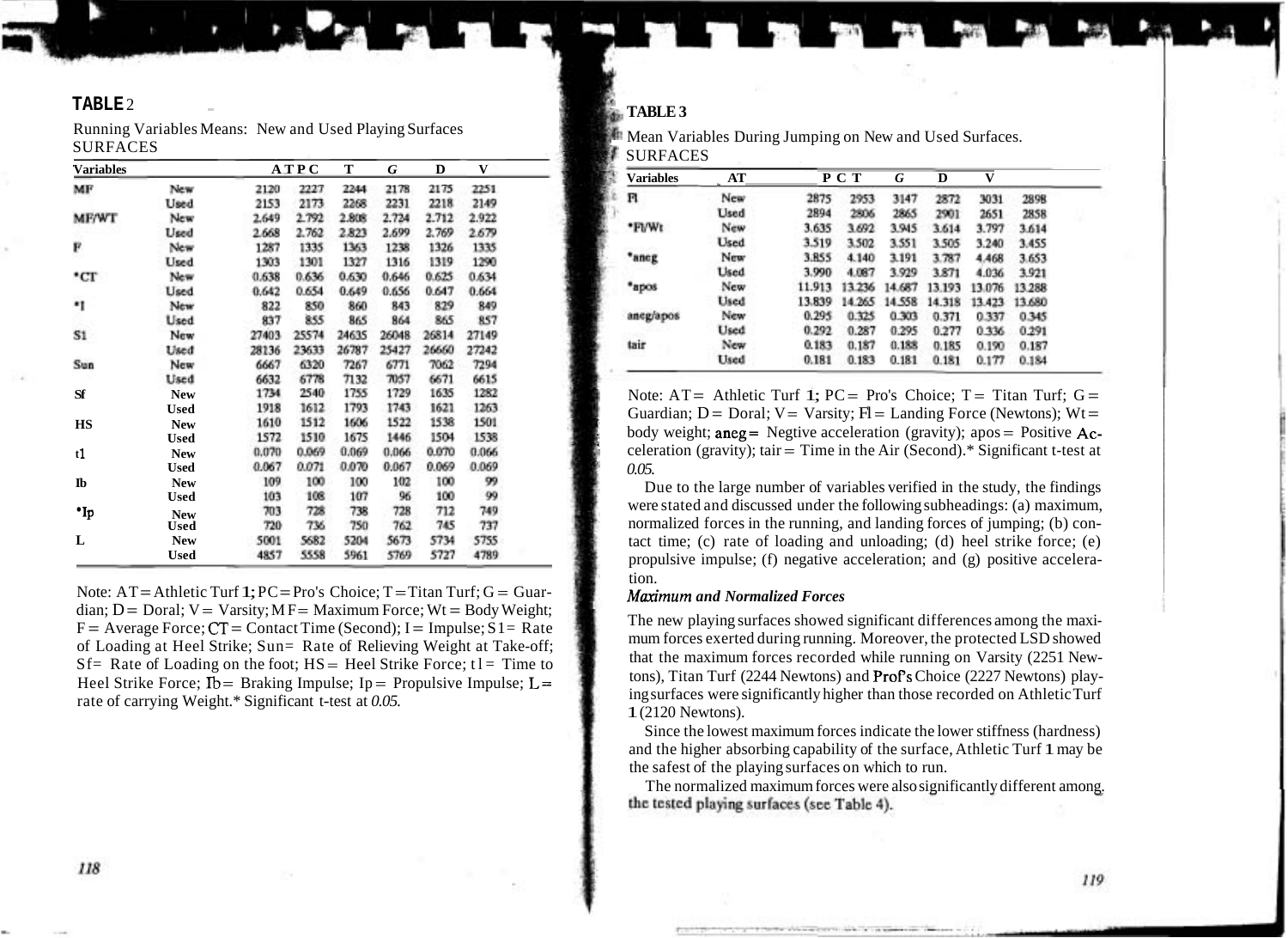## **TABLE** 2 -

Running Variables Means: New and Used Playing Surfaces SURFACES

| <b>Variables</b> |             |       | <b>ATPC</b> | т     | G     | D     | V     |  |
|------------------|-------------|-------|-------------|-------|-------|-------|-------|--|
| MF               | New         | 2120  | 2227        | 2244  | 2178  | 2175  | 2251  |  |
|                  | Used        | 2153  | 2173        | 2268  | 2231  | 2218  | 2149  |  |
| <b>MF/WT</b>     | New         | 2.649 | 2.792       | 2.808 | 2.724 | 2.712 | 2.922 |  |
|                  | Used        | 2.668 | 2.762       | 2.823 | 2.699 | 2.769 | 2.679 |  |
| F                | New         | 1287  | 1335        | 1363  | 1238  | 1326  | 1335  |  |
|                  | Used        | 1303  | 1301        | 1327  | 1316  | 1319  | 1290  |  |
| °CT              | New         | 0.638 | 0.636       | 0.630 | 0.646 | 0.625 | 0.634 |  |
|                  | Used        | 0.642 | 0.654       | 0.649 | 0.656 | 0.647 | 0.664 |  |
| *1               | New         | 822   | 850         | 860   | 843   | 829   | 849   |  |
|                  | Used        | 837   | 855         | 865   | 864   | 865   | 857   |  |
| S1               | New         | 27403 | 25574       | 24635 | 26048 | 26814 | 27149 |  |
|                  | Used        | 28136 | 23633       | 26787 | 25427 | 26660 | 27242 |  |
| Sun              | New         | 6667  | 6320        | 7267  | 6771  | 7062  | 7294  |  |
|                  | Used        | 6632  | 6778        | 7132  | 7057  | 6671  | 6615  |  |
| Sf               | <b>New</b>  | 1734  | 2540        | 1755  | 1729  | 1635  | 1282  |  |
|                  | <b>Used</b> | 1918  | 1612        | 1793  | 1743  | 1621  | 1263  |  |
| <b>HS</b>        | <b>New</b>  | 1610  | 1512        | 1606  | 1522  | 1538  | 1501  |  |
|                  | <b>Used</b> | 1572  | 1510        | 1675  | 1446  | 1504  | 1538  |  |
| t1               | <b>New</b>  | 0.070 | 0.069       | 0.069 | 0.066 | 0.070 | 0.066 |  |
|                  | <b>Used</b> | 0.067 | 0.071       | 0.070 | 0.067 | 0.069 | 0.069 |  |
| $\mathbf{I}$     | <b>New</b>  | 109   | 100         | 100   | 102   | 100   | 99    |  |
|                  | <b>Used</b> | 103   | 108         | 107   | 96    | 100   | 99    |  |
| •Ip              | <b>New</b>  | 703   | 728         | 738   | 728   | 712   | 749   |  |
|                  | Used        | 720   | 736         | 750   | 762   | 745   | 737   |  |
| L                | <b>New</b>  | 5001  | 5682        | 5204  | 5673  | 5734  | 5755  |  |
|                  | <b>Used</b> | 4857  | 5558        | 5961  | 5769  | 5727  | 4789  |  |

Note:  $AT =$  Athletic Turf 1; PC=Pro's Choice; T = Titan Turf;  $G =$  Guardian;  $D = Doral$ ;  $V = Varsity$ ;  $MF = Maximum Force$ ;  $Wt = Body Weight$ ;  $F = Average Force$ ;  $CT = Contact Time$  (Second);  $I = Impulse$ ;  $S1 = Rate$ of Loading at Heel Strike; Sun= Rate of Relieving Weight at Take-off;  $Sf=$  Rate of Loading on the foot;  $HS=$  Heel Strike Force; t l = Time to Heel Strike Force;  $Ib = Braking Impulse$ ;  $Ip = Propulsive Impulse$ ;  $L =$ rate of carrying Weight.\* Significant t-test at *0.05.* 

## TABLE 3

**Mean Variables During Jumping on New and Used Surfaces.** *8* SURFACES

| Variables | AT          |        | P C T  | G      | D      | v      |        |  |
|-----------|-------------|--------|--------|--------|--------|--------|--------|--|
| n         | New         | 2875   | 2953   | 3147   | 2872   | 3031   | 2898   |  |
|           | Used        | 2894   | 2806   | 2865   | 2901   | 2651   | 2858   |  |
| *Fl/Wt    | New         | 3.635  | 3.692  | 3.945  | 3.614  | 3.797  | 3.614  |  |
|           | Used        | 3.519  | 3.502  | 3.551  | 3.505  | 3.240  | 3.455  |  |
| *aneg     | New         | 3.BS5  | 4.140  | 3.191  | 3.787  | 4.468  | 3.653  |  |
|           | <b>Used</b> | 3.990  | 4.087  | 3.929  | 3.871  | 4.036  | 3.921  |  |
| *apos     | New         | 11.913 | 13.236 | 14.687 | 13.193 | 13.076 | 13.288 |  |
|           | Used        | 13.839 | 14.265 | 14.558 | 14.318 | 13.423 | 13,680 |  |
| aneg/apos | New         | 0.295  | 0.325  | 0.303  | 0.371  | 0.337  | 0.345  |  |
|           | Used        | 0.292  | 0.287  | 0.295  | 0.277  | 0.336  | 0.291  |  |
| tair      | New         | 0.183  | 0.187  | 0.188  | 0.185  | 0.190  | 0.187  |  |
|           | Used        | 0.181  | 0.183  | 0.181  | 0.181  | 0.177  | 0.184  |  |

Note:  $AT =$  Athletic Turf 1;  $PC = Pro's$  Choice:  $T =$  Titan Turf:  $G =$ Guardian;  $D = \text{Doral}$ ;  $V = \text{Varsity}$ ;  $H = \text{Landing Force}$  (Newtons);  $Wt =$ body weight;  $\text{area} = \text{Negative acceleration (gravity)}$ ; apos = Positive Acceleration (gravity); tair = Time in the Air (Second).\* Significant t-test at *0.05.* 

Due to the large number of variables verified in the study, the findings were stated and discussed under the following subheadings: (a) maximum, normalized forces in the running, and landing forces of jumping; (b) contact time; (c) rate of loading and unloading; (d) heel strike force; (e) propulsive impulse; (f) negative acceleration; and (g) positive acceleration.

## *Maximum and Normalized Forces*

The new playing surfaces showed significant differences among the maximum forces exerted during running. Moreover, the protected LSD showed that the maximum forces recorded while running on Varsity (2251 Newtons), Titan Turf (2244 Newtons) and Profs Choice (2227 Newtons) playing surfaces were significantly higher than those recorded on Athletic Turf 1 (2120 Newtons).

Since the lowest maximum forces indicate the lower stiffness (hardness) and the higher absorbing capability of the surface, Athletic Turf 1 may be the safest of the playing surfaces on which to run.

The normalized maximum forces were also significantly different among.<br>the tested playing surfaces (see Table 4).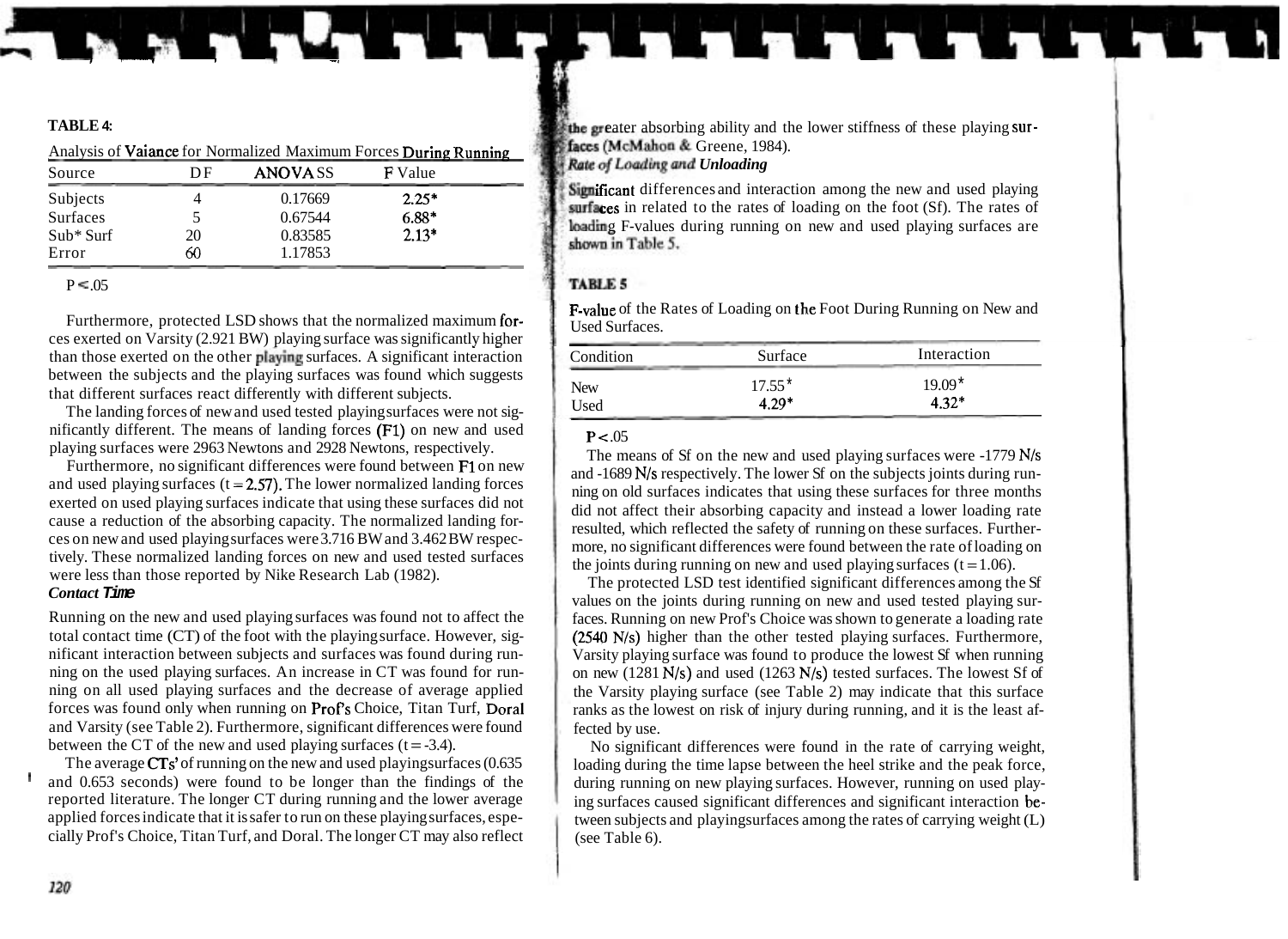|                 | Analysis of Vaiance for Normalized Maximum Forces During Running |                |                |  |  |  |
|-----------------|------------------------------------------------------------------|----------------|----------------|--|--|--|
| Source          | DE                                                               | <b>ANOVASS</b> | <b>F</b> Value |  |  |  |
| Subjects        |                                                                  | 0.17669        | $2.25*$        |  |  |  |
| <b>Surfaces</b> |                                                                  | 0.67544        | $6.88*$        |  |  |  |
| $Sub*$ Surf     | 20                                                               | 0.83585        | $2.13*$        |  |  |  |
| Error           | 60                                                               | 1.17853        |                |  |  |  |

## $P \leq 0.05$

Furthermore, protected LSD shows that the normalized maximum for-<br>Used Surfaces ces exerted on Varsity (2.921 BW) playing surface was significantly higher than those exerted on the other playing surfaces. A significant interaction between the subjects and the playing surfaces was found which suggests that different surfaces react differently with different subjects.

The landing forces of new and used tested playing surfaces were not significantly different. The means of landing forces (Fl) on new and used playing surfaces were 2963 Newtons and 2928 Newtons, respectively.

Furthermore, no significant differences were found between F1 on new and used playing surfaces  $(t = 2.57)$ . The lower normalized landing forces exerted on used playing surfaces indicate that using these surfaces did not cause a reduction of the absorbing capacity. The normalized landing forces on new and used playing surfaces were 3.716 BW and 3.462 BW respectively. These normalized landing forces on new and used tested surfaces were less than those reported by Nike Research Lab (1982).

## *Contact* **Time**

Running on the new and used playing surfaces was found not to affect the total contact time (CT) of the foot with the playing surface. However, significant interaction between subjects and surfaces was found during running on the used playing surfaces. An increase in CT was found for running on all used playing surfaces and the decrease of average applied forces was found only when running on Profs Choice, Titan Turf, Doral and Varsity (see Table 2). Furthermore, significant differences were found between the CT of the new and used playing surfaces  $(t = -3.4)$ .

The average CTs' of running on the new and used playingsurfaces (0.635 and 0.653 seconds) were found to be longer than the findings of the reported literature. The longer CT during running and the lower average applied forces indicate that it is safer to run on these playing surfaces, especially Prof's Choice, Titan Turf, and Doral. The longer CT may also reflect

**TABLE 4: EXECUTE: TABLE 4: external intervalse above** above a lower stiffness of these playing sur*faces (McMahon & Greene, 1984).* **Rate of Loading and Unloading** 

> **Subjects 4** differences and interaction among the new and used playing  $surfaces$  in related to the rates of loading on the foot (Sf). The rates of loading F-values during running on new and used playing surfaces are shown in Table 5.

## **TARLES**

F-value of the Rates of Loading on the Foot During Running on New and

| Condition  | Surface  | Interaction |
|------------|----------|-------------|
| <b>New</b> | $17.55*$ | $19.09*$    |
| Used       | $4.29*$  | $4.32*$     |

## $P < 0.05$

The means of Sf on the new and used playing surfaces were -1779 N/s and -1689 N/s respectively. The lower Sf on the subjects joints during running on old surfaces indicates that using these surfaces for three months did not affect their absorbing capacity and instead a lower loading rate resulted, which reflected the safety of running on these surfaces. Furthermore, no significant differences were found between the rate of loading on the joints during running on new and used playing surfaces  $(t = 1.06)$ .

The protected LSD test identified significant differences among the Sf values on the joints during running on new and used tested playing surfaces. Running on new Prof's Choice was shown to generate a loading rate (2540 N/s) higher than the other tested playing surfaces. Furthermore, Varsity playing surface was found to produce the lowest Sf when running on new (1281 N/s) and used (1263 N/s) tested surfaces. The lowest Sf of the Varsity playing surface (see Table 2) may indicate that this surface ranks as the lowest on risk of injury during running, and it is the least affected by use.

No significant differences were found in the rate of carrying weight, loading during the time lapse between the heel strike and the peak force, during running on new playing surfaces. However, running on used playing surfaces caused significant differences and significant interaction between subjects and playingsurfaces among the rates of carrying weight (L) (see Table 6).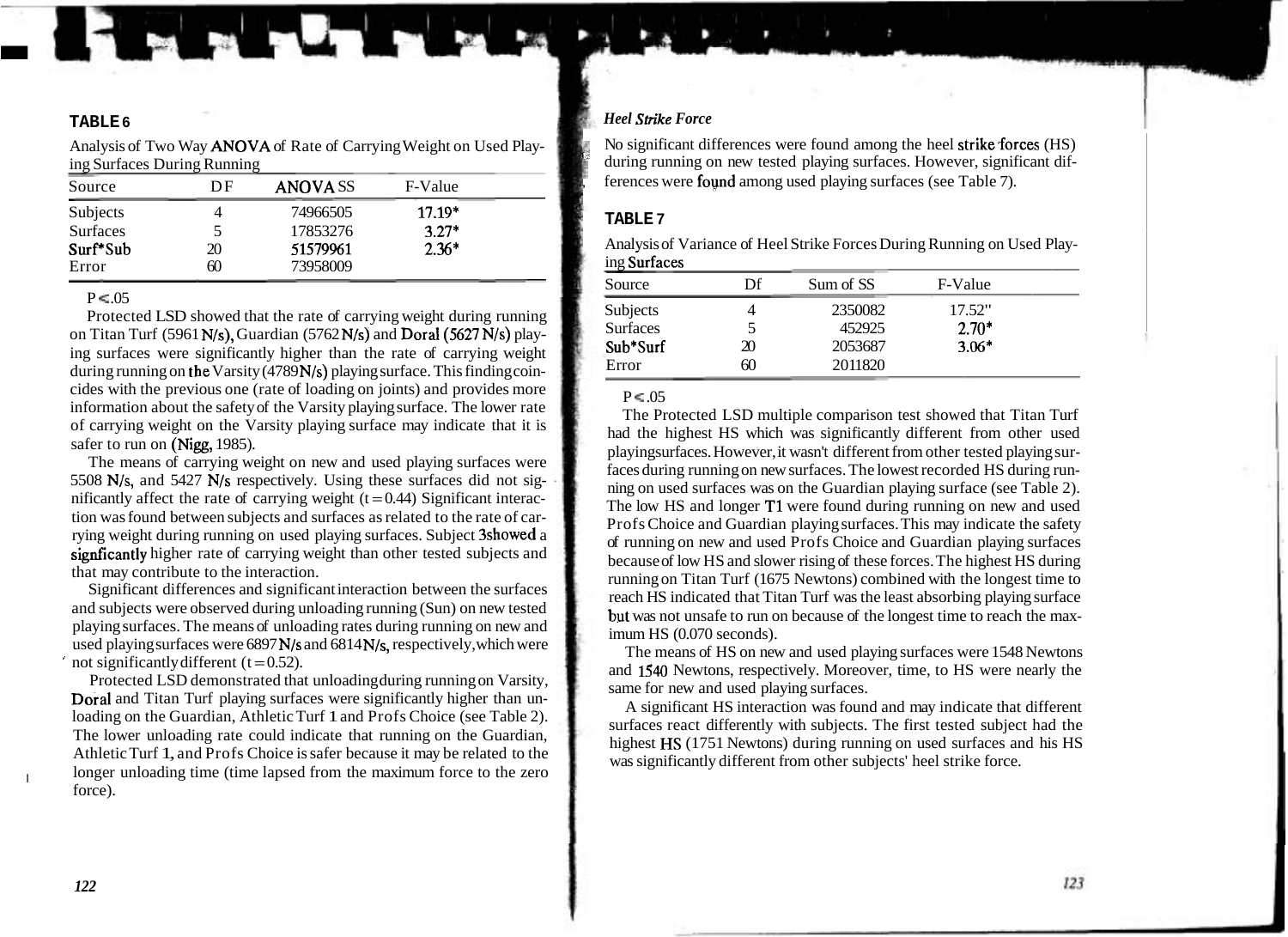# **In the contract of the contract of the contract of the contract of the contract of the contract of the contract**

Analysis of Two Way ANOVA of Rate of Carrying Weight on Used Playing Surfaces During Running

| Source          | DF | <b>ANOVASS</b> | F-Value  |  |
|-----------------|----|----------------|----------|--|
| Subjects        |    | 74966505       | $17.19*$ |  |
| <b>Surfaces</b> |    | 17853276       | $3.27*$  |  |
| Surf*Sub        | 20 | 51579961       | $2.36*$  |  |
| Error           | 60 | 73958009       |          |  |

## $P \leq 0.05$

Protected LSD showed that the rate of carrying weight during running on Titan Turf (5961 N/s), Guardian (5762 N/s) and Doral(5627 N/s) playing surfaces were significantly higher than the rate of carrying weight during running on the Varsity (4789 N/s) playing surface. This finding coincides with the previous one (rate of loading on joints) and provides more information about the safety of the Varsity playing surface. The lower rate of carrying weight on the Varsity playing surface may indicate that it is safer to run on (Nigg, 1985).

The means of carrying weight on new and used playing surfaces were 5508 N/s, and 5427 N/s respectively. Using these surfaces did not significantly affect the rate of carrying weight  $(t=0.44)$  Significant interaction was found between subjects and surfaces as related to the rate of carrying weight during running on used playing surfaces. Subject 3showed a signficantly higher rate of carrying weight than other tested subjects and that may contribute to the interaction.

Significant differences and significant interaction between the surfaces and subjects were observed during unloading running (Sun) on new tested playing surfaces. The means of unloading rates during running on new and used playing surfaces were 6897 N/s and 6814 N/s, respectively, which were not significantly different  $(t = 0.52)$ .

Protected LSD demonstrated that unloading during running on Varsity, Dora1 and Titan Turf playing surfaces were significantly higher than unloading on the Guardian, Athletic Turf 1 and Profs Choice (see Table 2). The lower unloading rate could indicate that running on the Guardian, Athletic Turf 1, and Profs Choice is safer because it may be related to the longer unloading time (time lapsed from the maximum force to the zero force).

## **TABLE 6** *Heel Strike Force*

No significant differences were found among the heel strike forces  $(HS)$ during running on new tested playing surfaces. However, significant differences were **found** among used playing surfaces (see Table 7).

## **TABLE 7**

Analysis of Variance of Heel Strike Forces During Running on Used Playing Surfaces

| Source          | Df | Sum of SS | F-Value |  |
|-----------------|----|-----------|---------|--|
| Subjects        |    | 2350082   | 17.52"  |  |
| <b>Surfaces</b> |    | 452925    | $2.70*$ |  |
| Sub*Surf        | 20 | 2053687   | $3.06*$ |  |
| Error           | 60 | 2011820   |         |  |

## $P \leq 05$

The Protected LSD multiple comparison test showed that Titan Turf had the highest HS which was significantly different from other used playingsurfaces. However, it wasn't different from other tested playing surfaces during running on new surfaces. The lowest recorded HS during running on used surfaces was on the Guardian playing surface (see Table 2). The low HS and longer T1 were found during running on new and used Profs Choice and Guardian playing surfaces. This may indicate the safety of running on new and used Profs Choice and Guardian playing surfaces because of low HS and slower rising of these forces. The highest HS during running on Titan Turf (1675 Newtons) combined with the longest time to reach HS indicated that Titan Turf was the least absorbing playing surface but was not unsafe to run on because of the longest time to reach the maximum HS (0.070 seconds).

The means of HS on new and used playing surfaces were 1548 Newtons and 1540 Newtons, respectively. Moreover, time, to HS were nearly the same for new and used playing surfaces.

A significant HS interaction was found and may indicate that different surfaces react differently with subjects. The first tested subject had the highest HS (1751 Newtons) during running on used surfaces and his HS was significantly different from other subjects' heel strike force.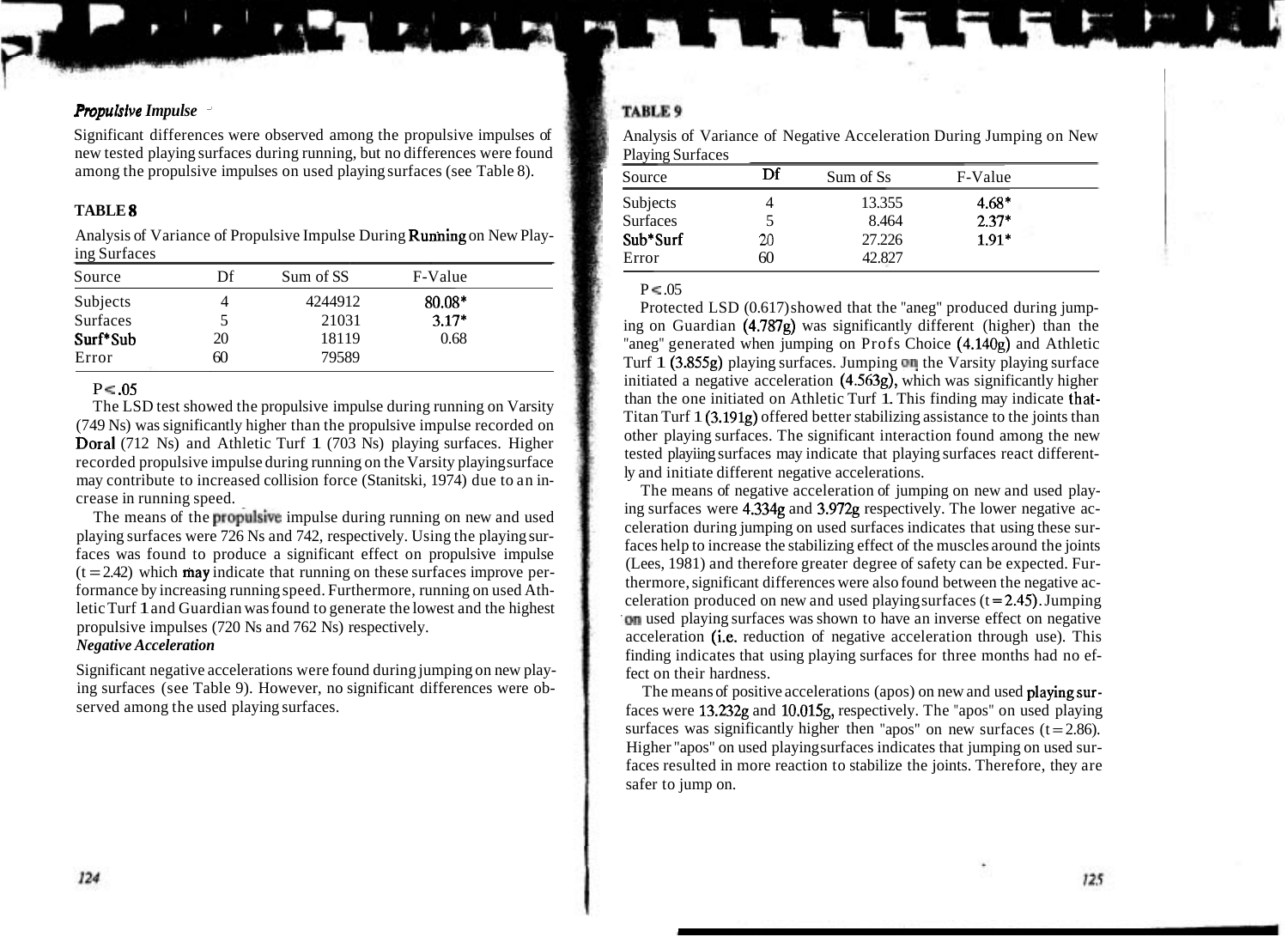## *Pmpulsive Impulse* -

Significant differences were observed among the propulsive impulses of new tested playing surfaces during running, but no differences were found among the propulsive impulses on used playing surfaces (see Table 8).

## **TABLE 8**

Analysis of Variance of Propulsive Impulse During Running on New Playing Surfaces

| Source   | Df | Sum of SS | F-Value |  |
|----------|----|-----------|---------|--|
| Subjects |    | 4244912   | 80.08*  |  |
| Surfaces |    | 21031     | $3.17*$ |  |
| Surf*Sub | 20 | 18119     | 0.68    |  |
| Error    | 60 | 79589     |         |  |

## $P < 0.05$

The LSD test showed the propulsive impulse during running on Varsity (749 Ns) was significantly higher than the propulsive impulse recorded on Dora1 (712 Ns) and Athletic Turf 1 (703 Ns) playing surfaces. Higher recorded propulsive impulse during running on the Varsity playing surface may contribute to increased collision force (Stanitski, 1974) due to an increase in running speed.

The means of the propulsive impulse during running on new and used playing surfaces were 726 Ns and 742, respectively. Using the playing surfaces was found to produce a significant effect on propulsive impulse  $(t = 2.42)$  which **may** indicate that running on these surfaces improve performance by increasing running speed. Furthermore, running on used Athletic Turf 1 and Guardian was found to generate the lowest and the highest propulsive impulses (720 Ns and 762 Ns) respectively. *Negative Acceleration* 

Significant negative accelerations were found during jumping on new playing surfaces (see Table 9). However, no significant differences were observed among the used playing surfaces.

## **TABLE 9**

Analysis of Variance of Negative Acceleration During Jumping on New Playing Surfaces

| Source          | Df | Sum of Ss | F-Value |  |
|-----------------|----|-----------|---------|--|
| Subjects        |    | 13.355    | $4.68*$ |  |
| <b>Surfaces</b> |    | 8.464     | $2.37*$ |  |
| Sub*Surf        | 20 | 27.226    | $1.91*$ |  |
| Error           | 60 | 42.827    |         |  |

## $P \leq 05$

Protected LSD (0.617) showed that the "aneg" produced during jumping on Guardian (4.787g) was significantly different (higher) than the "aneg" generated when jumping on Profs Choice (4.140g) and Athletic Turf  $1$  (3.855g) playing surfaces. Jumping on the Varsity playing surface initiated a negative acceleration (4.563g), which was significantly higher than the one initiated on Athletic Turf 1. This finding may indicate that-Titan Turf 1 (3.191g) offered better stabilizing assistance to the joints than other playing surfaces. The significant interaction found among the new tested playiing surfaces may indicate that playing surfaces react differently and initiate different negative accelerations.

The means of negative acceleration of jumping on new and used playing surfaces were 4.334g and 3.972g respectively. The lower negative acceleration during jumping on used surfaces indicates that using these surfaces help to increase the stabilizing effect of the muscles around the joints (Lees, 1981) and therefore greater degree of safety can be expected. Furthermore, significant differences were also found between the negative acceleration produced on new and used playing surfaces  $(t = 2.45)$ . Jumping .on used playing surfaces was shown to have an inverse effect on negative acceleration (i.e. reduction of negative acceleration through use). This finding indicates that using playing surfaces for three months had no effect on their hardness.

The means of positive accelerations (apos) on new and used playingsurfaces were 13.232g and 10.015g, respectively. The "apos" on used playing surfaces was significantly higher then "apos" on new surfaces  $(t = 2.86)$ . Higher "apos" on used playing surfaces indicates that jumping on used surfaces resulted in more reaction to stabilize the joints. Therefore, they are safer to jump on.